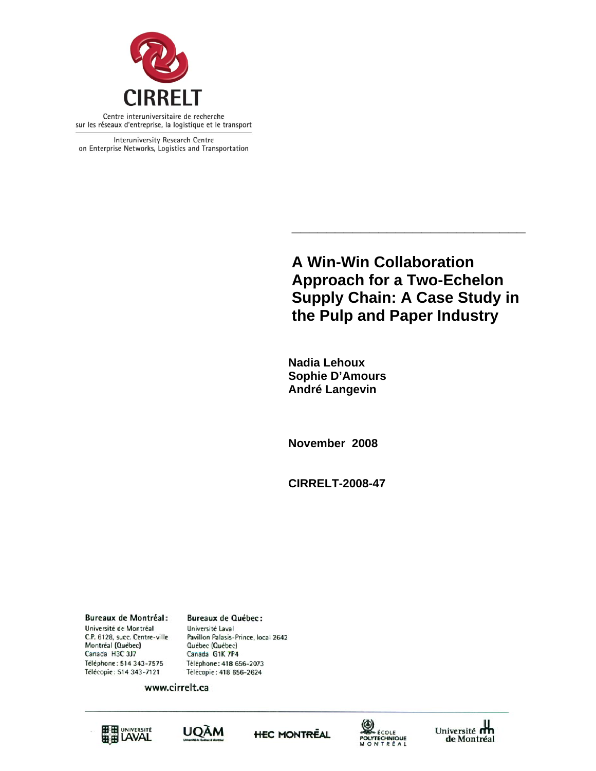

Interuniversity Research Centre on Enterprise Networks, Logistics and Transportation

> **A Win-Win Collaboration Approach for a Two-Echelon Supply Chain: A Case Study in the Pulp and Paper Industry**

**\_\_\_\_\_\_\_\_\_\_\_\_\_\_\_\_\_\_\_\_\_\_\_\_\_\_\_** 

 **Nadia Lehoux Sophie D'Amours André Langevin** 

**November 2008** 

**CIRRELT-2008-47** 

**Bureaux de Montréal:** Université de Montréal C.P. 6128, succ. Centre-ville Montréal (Québec) Canada H3C 3J7 Téléphone: 514 343-7575 Télécopie: 514 343-7121

**Bureaux de Québec:** Université Laval Pavillon Palasis-Prince, local 2642 Québec (Québec) Canada G1K 7P4 Téléphone: 418 656-2073 Télécopie: 418 656-2624

www.cirrelt.ca









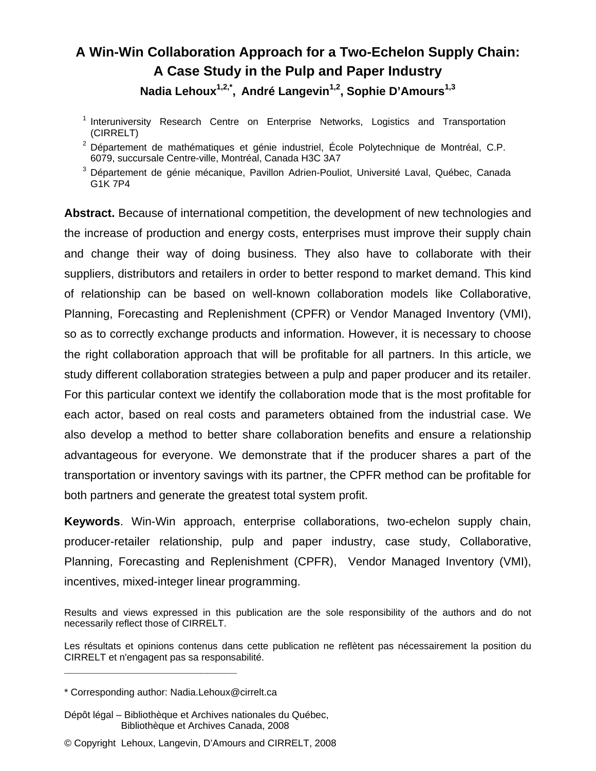# **A Win-Win Collaboration Approach for a Two-Echelon Supply Chain: A Case Study in the Pulp and Paper Industry**  Nadia Lehoux<sup>1,2,\*</sup>, André Langevin<sup>1,2</sup>, Sophie D'Amours<sup>1,3</sup>

- 1 Interuniversity Research Centre on Enterprise Networks, Logistics and Transportation (CIRRELT)
- <sup>2</sup> Département de mathématiques et génie industriel, École Polytechnique de Montréal, C.P. 6079, succursale Centre-ville, Montréal, Canada H3C 3A7
- 3 Département de génie mécanique, Pavillon Adrien-Pouliot, Université Laval, Québec, Canada G1K 7P4

**Abstract.** Because of international competition, the development of new technologies and the increase of production and energy costs, enterprises must improve their supply chain and change their way of doing business. They also have to collaborate with their suppliers, distributors and retailers in order to better respond to market demand. This kind of relationship can be based on well-known collaboration models like Collaborative, Planning, Forecasting and Replenishment (CPFR) or Vendor Managed Inventory (VMI), so as to correctly exchange products and information. However, it is necessary to choose the right collaboration approach that will be profitable for all partners. In this article, we study different collaboration strategies between a pulp and paper producer and its retailer. For this particular context we identify the collaboration mode that is the most profitable for each actor, based on real costs and parameters obtained from the industrial case. We also develop a method to better share collaboration benefits and ensure a relationship advantageous for everyone. We demonstrate that if the producer shares a part of the transportation or inventory savings with its partner, the CPFR method can be profitable for both partners and generate the greatest total system profit.

**Keywords**. Win-Win approach, enterprise collaborations, two-echelon supply chain, producer-retailer relationship, pulp and paper industry, case study, Collaborative, Planning, Forecasting and Replenishment (CPFR), Vendor Managed Inventory (VMI), incentives, mixed-integer linear programming.

**\_\_\_\_\_\_\_\_\_\_\_\_\_\_\_\_\_\_\_\_\_\_\_\_\_\_\_\_\_**

© Copyright Lehoux, Langevin, D'Amours and CIRRELT, 2008

Results and views expressed in this publication are the sole responsibility of the authors and do not necessarily reflect those of CIRRELT.

Les résultats et opinions contenus dans cette publication ne reflètent pas nécessairement la position du CIRRELT et n'engagent pas sa responsabilité.

<sup>\*</sup> Corresponding author: Nadia.Lehoux@cirrelt.ca

Dépôt légal – Bibliothèque et Archives nationales du Québec, Bibliothèque et Archives Canada, 2008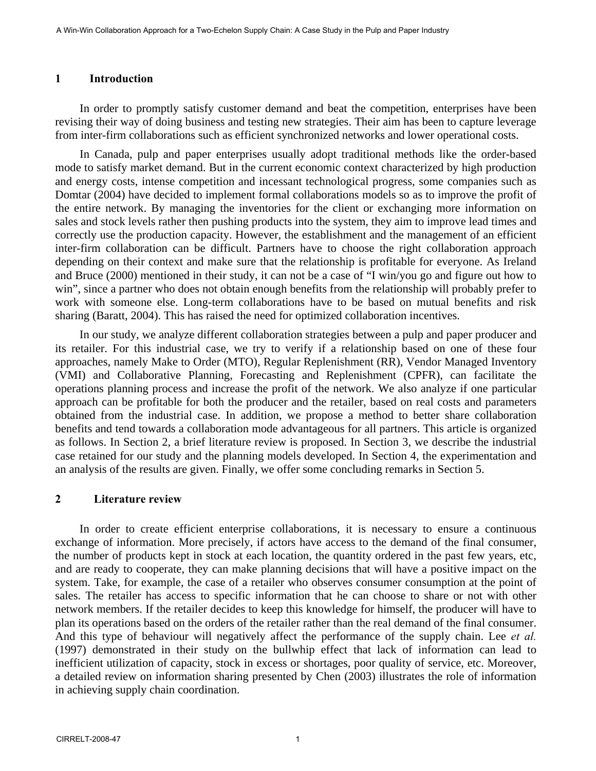#### **1 Introduction**

In order to promptly satisfy customer demand and beat the competition, enterprises have been revising their way of doing business and testing new strategies. Their aim has been to capture leverage from inter-firm collaborations such as efficient synchronized networks and lower operational costs.

In Canada, pulp and paper enterprises usually adopt traditional methods like the order-based mode to satisfy market demand. But in the current economic context characterized by high production and energy costs, intense competition and incessant technological progress, some companies such as Domtar (2004) have decided to implement formal collaborations models so as to improve the profit of the entire network. By managing the inventories for the client or exchanging more information on sales and stock levels rather then pushing products into the system, they aim to improve lead times and correctly use the production capacity. However, the establishment and the management of an efficient inter-firm collaboration can be difficult. Partners have to choose the right collaboration approach depending on their context and make sure that the relationship is profitable for everyone. As Ireland and Bruce (2000) mentioned in their study, it can not be a case of "I win/you go and figure out how to win", since a partner who does not obtain enough benefits from the relationship will probably prefer to work with someone else. Long-term collaborations have to be based on mutual benefits and risk sharing (Baratt, 2004). This has raised the need for optimized collaboration incentives.

In our study, we analyze different collaboration strategies between a pulp and paper producer and its retailer. For this industrial case, we try to verify if a relationship based on one of these four approaches, namely Make to Order (MTO), Regular Replenishment (RR), Vendor Managed Inventory (VMI) and Collaborative Planning, Forecasting and Replenishment (CPFR), can facilitate the operations planning process and increase the profit of the network. We also analyze if one particular approach can be profitable for both the producer and the retailer, based on real costs and parameters obtained from the industrial case. In addition, we propose a method to better share collaboration benefits and tend towards a collaboration mode advantageous for all partners. This article is organized as follows. In Section 2, a brief literature review is proposed. In Section 3, we describe the industrial case retained for our study and the planning models developed. In Section 4, the experimentation and an analysis of the results are given. Finally, we offer some concluding remarks in Section 5.

#### **2 Literature review**

In order to create efficient enterprise collaborations, it is necessary to ensure a continuous exchange of information. More precisely, if actors have access to the demand of the final consumer, the number of products kept in stock at each location, the quantity ordered in the past few years, etc, and are ready to cooperate, they can make planning decisions that will have a positive impact on the system. Take, for example, the case of a retailer who observes consumer consumption at the point of sales. The retailer has access to specific information that he can choose to share or not with other network members. If the retailer decides to keep this knowledge for himself, the producer will have to plan its operations based on the orders of the retailer rather than the real demand of the final consumer. And this type of behaviour will negatively affect the performance of the supply chain. Lee *et al.* (1997) demonstrated in their study on the bullwhip effect that lack of information can lead to inefficient utilization of capacity, stock in excess or shortages, poor quality of service, etc. Moreover, a detailed review on information sharing presented by Chen (2003) illustrates the role of information in achieving supply chain coordination.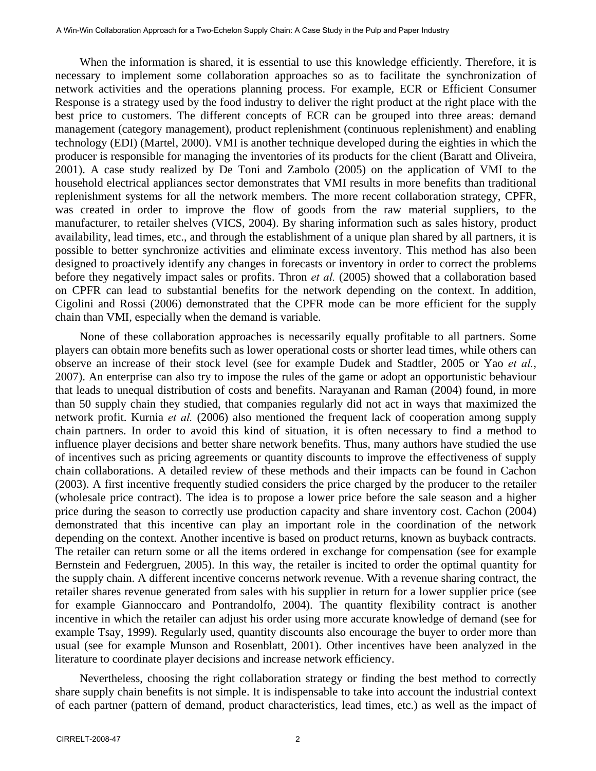When the information is shared, it is essential to use this knowledge efficiently. Therefore, it is necessary to implement some collaboration approaches so as to facilitate the synchronization of network activities and the operations planning process. For example, ECR or Efficient Consumer Response is a strategy used by the food industry to deliver the right product at the right place with the best price to customers. The different concepts of ECR can be grouped into three areas: demand management (category management), product replenishment (continuous replenishment) and enabling technology (EDI) (Martel, 2000). VMI is another technique developed during the eighties in which the producer is responsible for managing the inventories of its products for the client (Baratt and Oliveira, 2001). A case study realized by De Toni and Zambolo (2005) on the application of VMI to the household electrical appliances sector demonstrates that VMI results in more benefits than traditional replenishment systems for all the network members. The more recent collaboration strategy, CPFR, was created in order to improve the flow of goods from the raw material suppliers, to the manufacturer, to retailer shelves (VICS, 2004). By sharing information such as sales history, product availability, lead times, etc., and through the establishment of a unique plan shared by all partners, it is possible to better synchronize activities and eliminate excess inventory. This method has also been designed to proactively identify any changes in forecasts or inventory in order to correct the problems before they negatively impact sales or profits. Thron *et al.* (2005) showed that a collaboration based on CPFR can lead to substantial benefits for the network depending on the context. In addition, Cigolini and Rossi (2006) demonstrated that the CPFR mode can be more efficient for the supply chain than VMI, especially when the demand is variable.

None of these collaboration approaches is necessarily equally profitable to all partners. Some players can obtain more benefits such as lower operational costs or shorter lead times, while others can observe an increase of their stock level (see for example Dudek and Stadtler, 2005 or Yao *et al.*, 2007). An enterprise can also try to impose the rules of the game or adopt an opportunistic behaviour that leads to unequal distribution of costs and benefits. Narayanan and Raman (2004) found, in more than 50 supply chain they studied, that companies regularly did not act in ways that maximized the network profit. Kurnia *et al.* (2006) also mentioned the frequent lack of cooperation among supply chain partners. In order to avoid this kind of situation, it is often necessary to find a method to influence player decisions and better share network benefits. Thus, many authors have studied the use of incentives such as pricing agreements or quantity discounts to improve the effectiveness of supply chain collaborations. A detailed review of these methods and their impacts can be found in Cachon (2003). A first incentive frequently studied considers the price charged by the producer to the retailer (wholesale price contract). The idea is to propose a lower price before the sale season and a higher price during the season to correctly use production capacity and share inventory cost. Cachon (2004) demonstrated that this incentive can play an important role in the coordination of the network depending on the context. Another incentive is based on product returns, known as buyback contracts. The retailer can return some or all the items ordered in exchange for compensation (see for example Bernstein and Federgruen, 2005). In this way, the retailer is incited to order the optimal quantity for the supply chain. A different incentive concerns network revenue. With a revenue sharing contract, the retailer shares revenue generated from sales with his supplier in return for a lower supplier price (see for example Giannoccaro and Pontrandolfo, 2004). The quantity flexibility contract is another incentive in which the retailer can adjust his order using more accurate knowledge of demand (see for example Tsay, 1999). Regularly used, quantity discounts also encourage the buyer to order more than usual (see for example Munson and Rosenblatt, 2001). Other incentives have been analyzed in the literature to coordinate player decisions and increase network efficiency.

Nevertheless, choosing the right collaboration strategy or finding the best method to correctly share supply chain benefits is not simple. It is indispensable to take into account the industrial context of each partner (pattern of demand, product characteristics, lead times, etc.) as well as the impact of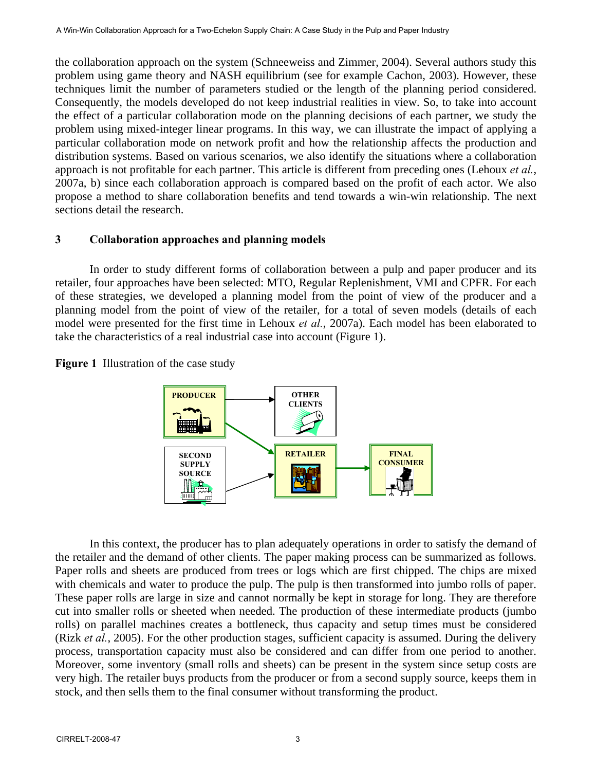the collaboration approach on the system (Schneeweiss and Zimmer, 2004). Several authors study this problem using game theory and NASH equilibrium (see for example Cachon, 2003). However, these techniques limit the number of parameters studied or the length of the planning period considered. Consequently, the models developed do not keep industrial realities in view. So, to take into account the effect of a particular collaboration mode on the planning decisions of each partner, we study the problem using mixed-integer linear programs. In this way, we can illustrate the impact of applying a particular collaboration mode on network profit and how the relationship affects the production and distribution systems. Based on various scenarios, we also identify the situations where a collaboration approach is not profitable for each partner. This article is different from preceding ones (Lehoux *et al.*, 2007a, b) since each collaboration approach is compared based on the profit of each actor. We also propose a method to share collaboration benefits and tend towards a win-win relationship. The next sections detail the research.

## **3 Collaboration approaches and planning models**

 In order to study different forms of collaboration between a pulp and paper producer and its retailer, four approaches have been selected: MTO, Regular Replenishment, VMI and CPFR. For each of these strategies, we developed a planning model from the point of view of the producer and a planning model from the point of view of the retailer, for a total of seven models (details of each model were presented for the first time in Lehoux *et al.*, 2007a). Each model has been elaborated to take the characteristics of a real industrial case into account (Figure 1).



**Figure 1** Illustration of the case study

 In this context, the producer has to plan adequately operations in order to satisfy the demand of the retailer and the demand of other clients. The paper making process can be summarized as follows. Paper rolls and sheets are produced from trees or logs which are first chipped. The chips are mixed with chemicals and water to produce the pulp. The pulp is then transformed into jumbo rolls of paper. These paper rolls are large in size and cannot normally be kept in storage for long. They are therefore cut into smaller rolls or sheeted when needed. The production of these intermediate products (jumbo rolls) on parallel machines creates a bottleneck, thus capacity and setup times must be considered (Rizk *et al.*, 2005). For the other production stages, sufficient capacity is assumed. During the delivery process, transportation capacity must also be considered and can differ from one period to another. Moreover, some inventory (small rolls and sheets) can be present in the system since setup costs are very high. The retailer buys products from the producer or from a second supply source, keeps them in stock, and then sells them to the final consumer without transforming the product.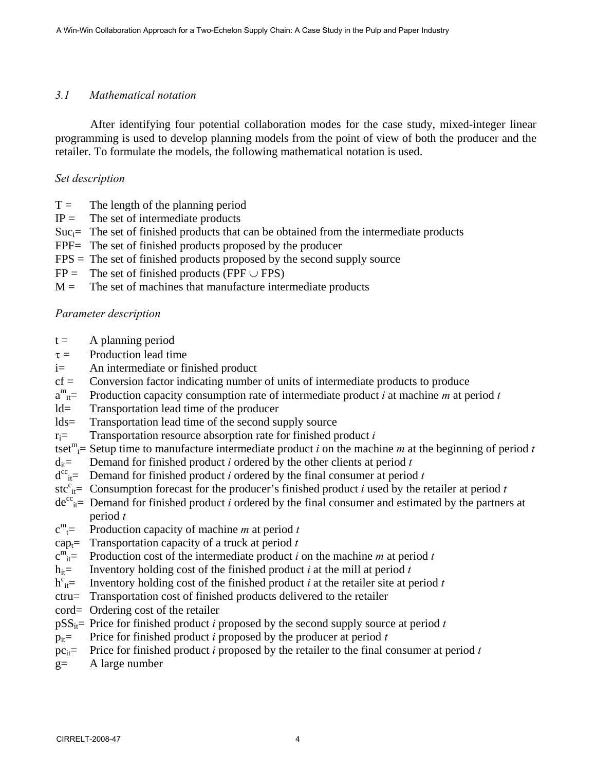## *3.1 Mathematical notation*

After identifying four potential collaboration modes for the case study, mixed-integer linear programming is used to develop planning models from the point of view of both the producer and the retailer. To formulate the models, the following mathematical notation is used.

## *Set description*

- $T =$  The length of the planning period
- $IP =$  The set of intermediate products
- $Suc_i=$  The set of finished products that can be obtained from the intermediate products
- FPF= The set of finished products proposed by the producer
- FPS = The set of finished products proposed by the second supply source
- $FP =$  The set of finished products (FPF  $\cup$  FPS)
- $M =$  The set of machines that manufacture intermediate products

### *Parameter description*

- $t =$  A planning period
- $\tau =$  Production lead time
- i= An intermediate or finished product
- $cf =$  Conversion factor indicating number of units of intermediate products to produce
- $a^{m}$ <sub>it</sub> Production capacity consumption rate of intermediate product *i* at machine *m* at period *t*
- ld= Transportation lead time of the producer
- lds= Transportation lead time of the second supply source
- ri= Transportation resource absorption rate for finished product *i*
- tset<sup>m</sup><sub>i</sub>= Setup time to manufacture intermediate product *i* on the machine *m* at the beginning of period *t*
- $d_{it}$  Demand for finished product *i* ordered by the other clients at period *t*
- $d^{cc}$ <sub>it</sub> Demand for finished product *i* ordered by the final consumer at period *t*
- stc<sup>c</sup><sub>it</sub> = Consumption forecast for the producer's finished product *i* used by the retailer at period *t*
- $de^{cc}_{it}$  Demand for finished product *i* ordered by the final consumer and estimated by the partners at period *t*
- c m Production capacity of machine  $m$  at period  $t$
- cap<sub>t</sub>= Transportation capacity of a truck at period  $t$
- $c^{m}$ <sub>it</sub> Production cost of the intermediate product *i* on the machine *m* at period *t*
- h<sub>it</sub>= Inventory holding cost of the finished product *i* at the mill at period *t*
- $h^c_{it}$  Inventory holding cost of the finished product *i* at the retailer site at period *t*
- ctru= Transportation cost of finished products delivered to the retailer
- cord= Ordering cost of the retailer
- $pSS_{it}$ = Price for finished product *i* proposed by the second supply source at period *t*
- $p_{it}$ = Price for finished product *i* proposed by the producer at period *t*
- pc<sub>it</sub>= Price for finished product *i* proposed by the retailer to the final consumer at period  $t$
- g= A large number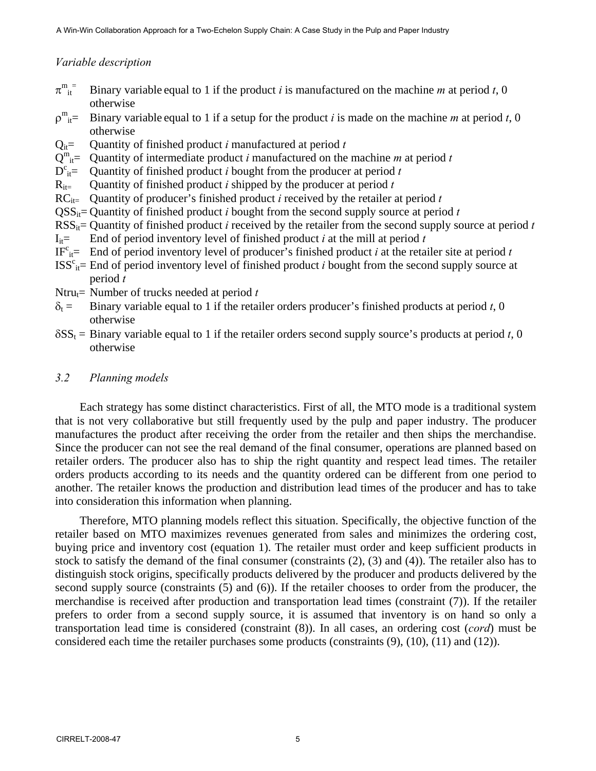# *Variable description*

- $\pi_{\text{it}}^{\text{m}}$ Binary variable equal to 1 if the product *i* is manufactured on the machine *m* at period *t*, 0 otherwise
- $\rho^m_{it}$ = Binary variable equal to 1 if a setup for the product *i* is made on the machine *m* at period *t*, 0 otherwise
- $Q_{it}$  = Quantity of finished product *i* manufactured at period *t*
- $Q^m_{it}$  = Quantity of intermediate product *i* manufactured on the machine *m* at period *t*
- $D^c_{it}$ = Quantity of finished product *i* bought from the producer at period *t*
- $R_{it}$  Quantity of finished product *i* shipped by the producer at period *t*
- $RC_{it}$  Quantity of producer's finished product *i* received by the retailer at period *t*
- $QSS_{it}$ = Quantity of finished product *i* bought from the second supply source at period *t*
- RSS<sub>it</sub>= Quantity of finished product *i* received by the retailer from the second supply source at period *t*
- $I_{i\tau}$  End of period inventory level of finished product *i* at the mill at period *t*
- IF<sup>c</sup><sub>it</sub>= End of period inventory level of producer's finished product *i* at the retailer site at period *t*
- $ISS<sup>c</sup><sub>it</sub>$  End of period inventory level of finished product *i* bought from the second supply source at period *t*
- Ntru $_{t}$ = Number of trucks needed at period *t*
- $\delta_t$  = Binary variable equal to 1 if the retailer orders producer's finished products at period *t*, 0 otherwise
- $\delta SS_t =$  Binary variable equal to 1 if the retailer orders second supply source's products at period *t*, 0 otherwise

## *3.2 Planning models*

Each strategy has some distinct characteristics. First of all, the MTO mode is a traditional system that is not very collaborative but still frequently used by the pulp and paper industry. The producer manufactures the product after receiving the order from the retailer and then ships the merchandise. Since the producer can not see the real demand of the final consumer, operations are planned based on retailer orders. The producer also has to ship the right quantity and respect lead times. The retailer orders products according to its needs and the quantity ordered can be different from one period to another. The retailer knows the production and distribution lead times of the producer and has to take into consideration this information when planning.

Therefore, MTO planning models reflect this situation. Specifically, the objective function of the retailer based on MTO maximizes revenues generated from sales and minimizes the ordering cost, buying price and inventory cost (equation 1). The retailer must order and keep sufficient products in stock to satisfy the demand of the final consumer (constraints (2), (3) and (4)). The retailer also has to distinguish stock origins, specifically products delivered by the producer and products delivered by the second supply source (constraints (5) and (6)). If the retailer chooses to order from the producer, the merchandise is received after production and transportation lead times (constraint (7)). If the retailer prefers to order from a second supply source, it is assumed that inventory is on hand so only a transportation lead time is considered (constraint (8)). In all cases, an ordering cost (*cord*) must be considered each time the retailer purchases some products (constraints (9), (10), (11) and (12)).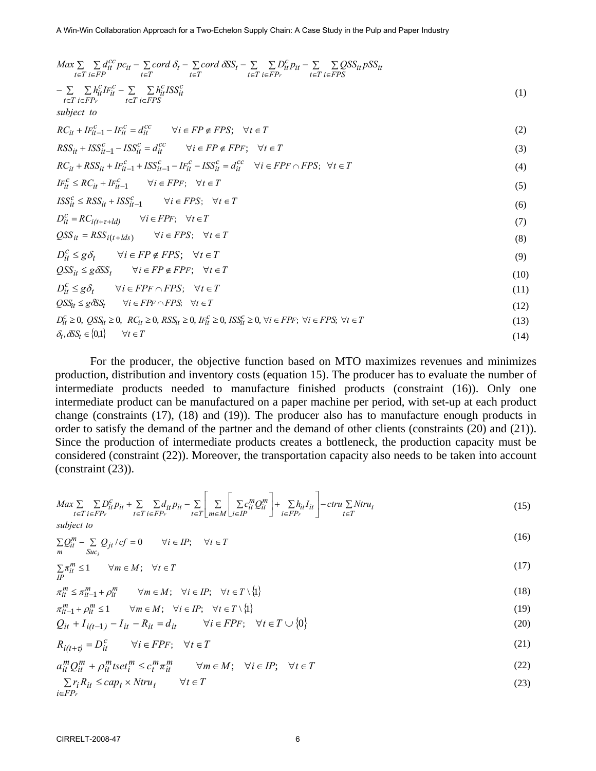$$
Max \sum_{t \in T} \sum_{i \in F} d_{it}^{cc} pc_{it} - \sum_{t \in T} cord \delta_{t} - \sum_{t \in T} cord \delta_{s}C_{t} - \sum_{t \in T} \sum_{i \in F} p_{it}^c p_{it} - \sum_{t \in T} \sum_{i \in F} OS_{it}^{sc} p_{s}^{sc}
$$
\n
$$
- \sum_{t \in T} \sum_{i \in F} k_{it}^c P_{it}^c - \sum_{t \in T} \sum_{i \in F} k_{it}^c I^{sc} S_{it}^c
$$
\n
$$
RC_{it} + Ir_{it-1}^c - Ir_{it}^c = d_{it}^{cc} \quad \forall i \in FP \notin FPS; \forall t \in T
$$
\n
$$
RC_{it} + RSS_{it} - 1 - ISS_{it}^c = d_{it}^{cc} \quad \forall i \in FP \notin FPS; \forall t \in T
$$
\n
$$
RC_{it} + RSS_{it} + Ir_{it-1}^c + ISS_{it}^c - 1 - Ir_{it}^c - ISS_{it}^c = d_{it}^{cc} \quad \forall i \in FPP \in \text{PFS}; \forall t \in T
$$
\n
$$
IF_{it}^c \le RC_{it} + Ir_{it-1}^c \quad \forall i \in FPP; \forall t \in T
$$
\n
$$
ISS_{it}^c \le RSS_{it} + ISS_{it-1}^c \quad \forall i \in FPS; \forall t \in T
$$
\n
$$
OS_{it}^c = RS_{it} + It_{id}^c \quad \forall i \in FPS; \forall t \in T
$$
\n
$$
OS_{it}^c \le g \delta_t \quad \forall i \in FP \notin FPS; \forall t \in T
$$
\n
$$
OS_{it}^c \le g \delta_t \quad \forall i \in FP \notin FPS; \forall t \in T
$$
\n
$$
OS_{it}^c \le g \delta_t \quad \forall i \in FP \notin FPS; \forall t \in T
$$
\n
$$
OS_{it}^c \ge g \delta_t \quad \forall i \in FP \in \text{PFS}; \forall t \in T
$$
\n
$$
OS_{it}^c \ge g \delta_t \quad \forall i \in FP \cap FPS; \forall t \in T
$$
\n
$$
OS_{it}^c \ge g \delta
$$

For the producer, the objective function based on MTO maximizes revenues and minimizes production, distribution and inventory costs (equation 15). The producer has to evaluate the number of intermediate products needed to manufacture finished products (constraint (16)). Only one intermediate product can be manufactured on a paper machine per period, with set-up at each product change (constraints (17), (18) and (19)). The producer also has to manufacture enough products in order to satisfy the demand of the partner and the demand of other clients (constraints (20) and (21)). Since the production of intermediate products creates a bottleneck, the production capacity must be considered (constraint (22)). Moreover, the transportation capacity also needs to be taken into account (constraint (23)).

$$
Max \sum_{t \in T} \sum_{i \in FP_F} D_{it}^c p_{it} + \sum_{t \in T} \sum_{i \in FP_F} d_{it} p_{it} - \sum_{t \in T} \left[ \sum_{m \in M} \left[ \sum_{i \in IP} c_{it}^m Q_{it}^m \right] + \sum_{i \in FP_F} h_{it} I_{it} \right] - \text{ctru} \sum_{t \in T} N \text{tru}_t
$$
\n
$$
(15)
$$

*subject to*

$$
\sum_{m} Q_{it}^{m} - \sum_{Suc_i} Q_{jt} / cf = 0 \qquad \forall i \in IP; \quad \forall t \in T
$$
\n(16)

 $(16)$ 

$$
\sum_{IP} \pi_{it}^{m} \le 1 \qquad \forall m \in M; \quad \forall t \in T
$$
\n
$$
(17)
$$

$$
\pi_{it}^m \le \pi_{it-1}^m + \rho_{it}^m \qquad \forall m \in M; \quad \forall i \in IP; \quad \forall t \in T \setminus \{1\}
$$
\n
$$
(18)
$$

$$
\pi_{it-1}^m + \rho_{it}^m \le 1 \qquad \forall m \in M; \quad \forall i \in IP; \quad \forall t \in T \setminus \{1\}
$$
\n
$$
(19)
$$

$$
Q_{it} + I_{i(t-1)} - I_{it} - R_{it} = d_{it} \qquad \forall i \in FPF; \quad \forall t \in T \cup \{0\}
$$
\n
$$
(20)
$$

$$
R_{i(t+\tau)} = D_{it}^c \qquad \forall i \in FPF; \quad \forall t \in T
$$
\n
$$
(21)
$$

$$
a_{it}^{m} Q_{it}^{m} + \rho_{it}^{m} tset_{i}^{m} \le c_{t}^{m} \pi_{it}^{m} \qquad \forall m \in M; \quad \forall i \in IP; \quad \forall t \in T
$$
 (22)

$$
\sum_{i \in FP_F} r_i R_{it} \leq cap_t \times Ntru_t \qquad \forall t \in T
$$
\n
$$
(23)
$$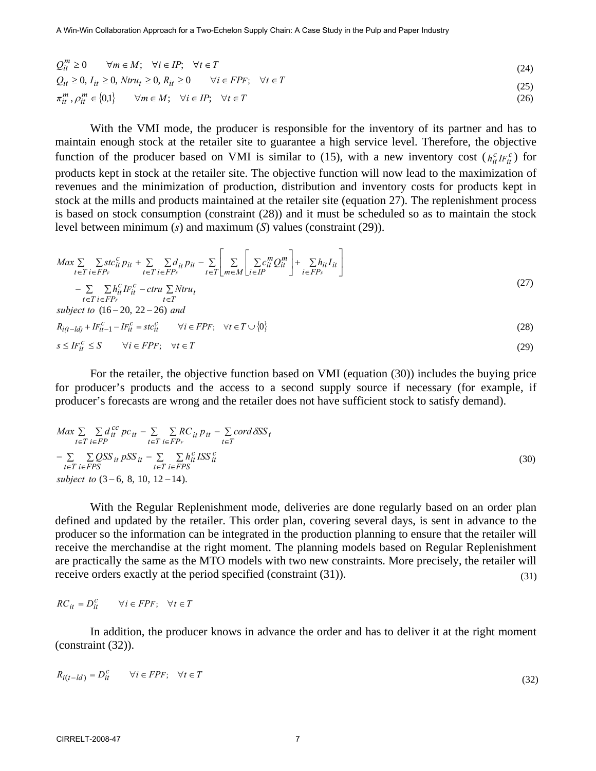$$
Q_{it}^{m} \ge 0 \quad \forall m \in M; \quad \forall i \in IP; \quad \forall t \in T
$$
  
\n
$$
Q_{it} \ge 0, I_{it} \ge 0, Ntru_{t} \ge 0, R_{it} \ge 0 \quad \forall i \in FPF; \quad \forall t \in T
$$
  
\n
$$
\pi_{it}^{m}, \rho_{it}^{m} \in \{0,1\} \quad \forall m \in M; \quad \forall i \in IP; \quad \forall t \in T
$$
  
\n(25)

With the VMI mode, the producer is responsible for the inventory of its partner and has to maintain enough stock at the retailer site to guarantee a high service level. Therefore, the objective function of the producer based on VMI is similar to (15), with a new inventory cost  $(h_{it}^c I F_{it}^c)$  for products kept in stock at the retailer site. The objective function will now lead to the maximization of revenues and the minimization of production, distribution and inventory costs for products kept in stock at the mills and products maintained at the retailer site (equation 27). The replenishment process is based on stock consumption (constraint (28)) and it must be scheduled so as to maintain the stock level between minimum (*s*) and maximum (*S*) values (constraint (29)).

$$
Max \sum_{t \in T} \sum_{i \in FP_F} \sum_{it} t_{it}^c p_{it} + \sum_{t \in T} \sum_{i \in FP_F} d_{it} p_{it} - \sum_{t \in T} \left[ \sum_{m \in M} \left[ \sum_{i \in IP} c_{it}^m Q_{it}^m \right] + \sum_{i \in FP_F} h_{it} I_{it} \right] - \sum \sum h_{it}^c I_{if}^c - \text{ctru} \sum N \text{tru}_t
$$
\n(27)

$$
- \sum_{t \in T} \sum_{i \in FP_F} n_{it} \cdot \prod_{t \in T} - \text{crru} \sum_{t \in T} N \cdot \prod_{t \in T} + \text{crru}
$$
\n
$$
subject \ to \ (16-20, 22-26) \ and
$$
\n
$$
R_{i(t-1,d)} + I F_{it-1}^c - I F_{it}^c = \text{stc}_{it}^c \qquad \forall i \in FP_F; \quad \forall t \in T \cup \{0\}
$$
\n
$$
(28)
$$

$$
s \le IF_{it}^c \le S \qquad \forall i \in FPF; \quad \forall t \in T
$$
\n
$$
(29)
$$

For the retailer, the objective function based on VMI (equation (30)) includes the buying price for producer's products and the access to a second supply source if necessary (for example, if producer's forecasts are wrong and the retailer does not have sufficient stock to satisfy demand).

$$
Max \sum_{t \in T} \sum_{i \in FP} d_{it}^{cc} pc_{it} - \sum_{t \in T} \sum_{i \in FP_F} RC_{it} p_{it} - \sum_{t \in T} cord \delta SS_t
$$
  
\n
$$
- \sum_{t \in T} \sum_{i \in FPS} QSS_{it} \ pSS_{it} - \sum_{t \in T} \sum_{i \in FPS} h_{it}^{cc} ISS_{it}^{cc}
$$
  
\n
$$
subject \ to \ (3-6, 8, 10, 12-14).
$$
\n(30)

With the Regular Replenishment mode, deliveries are done regularly based on an order plan defined and updated by the retailer. This order plan, covering several days, is sent in advance to the producer so the information can be integrated in the production planning to ensure that the retailer will receive the merchandise at the right moment. The planning models based on Regular Replenishment are practically the same as the MTO models with two new constraints. More precisely, the retailer will receive orders exactly at the period specified (constraint (31)). (31)

$$
RC_{it} = D_{it}^c \qquad \forall i \in FPF; \quad \forall t \in T
$$

In addition, the producer knows in advance the order and has to deliver it at the right moment (constraint (32)).

$$
R_{i(t-1)d}) = D_{it}^{c} \qquad \forall i \in FPF; \quad \forall t \in T
$$
\n
$$
(32)
$$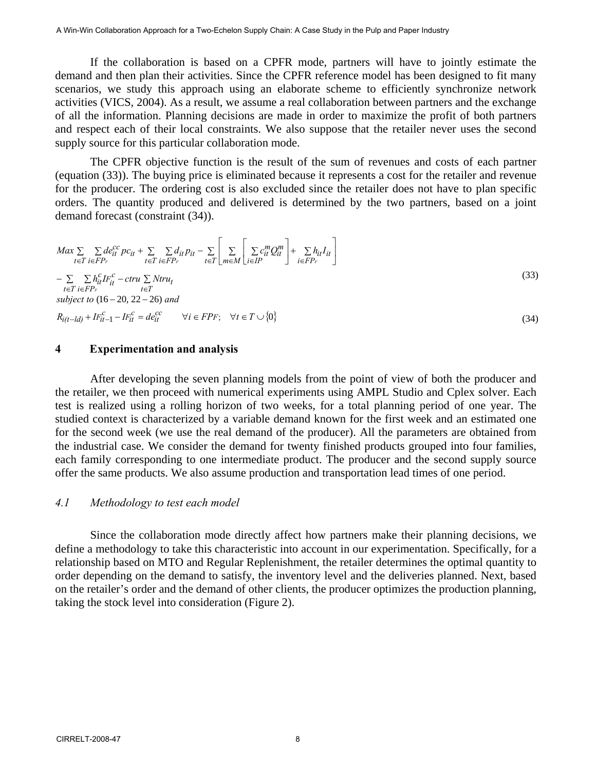If the collaboration is based on a CPFR mode, partners will have to jointly estimate the demand and then plan their activities. Since the CPFR reference model has been designed to fit many scenarios, we study this approach using an elaborate scheme to efficiently synchronize network activities (VICS, 2004). As a result, we assume a real collaboration between partners and the exchange of all the information. Planning decisions are made in order to maximize the profit of both partners and respect each of their local constraints. We also suppose that the retailer never uses the second supply source for this particular collaboration mode.

The CPFR objective function is the result of the sum of revenues and costs of each partner (equation (33)). The buying price is eliminated because it represents a cost for the retailer and revenue for the producer. The ordering cost is also excluded since the retailer does not have to plan specific orders. The quantity produced and delivered is determined by the two partners, based on a joint demand forecast (constraint (34)).

$$
Max \sum_{t \in T} \sum_{i \in FP_F} de_{it}^{cc} pc_{it} + \sum_{t \in T} \sum_{i \in FP_F} d_{it} p_{it} - \sum_{t \in T} \left[ \sum_{m \in M} \left[ \sum_{i \in IP} c_{it}^m Q_{it}^m \right] + \sum_{i \in FP_F} h_{it} I_{it} \right]
$$
  
- 
$$
\sum_{t \in T} \sum_{i \in FP_F} h_{it}^c I_{it}^c - \text{crru} \sum_{t \in T} N \text{tru}_t
$$
  
- 
$$
\sum_{t \in T} \sum_{i \in FP_F} h_{it}^c I_{it}^c - \text{crru} \sum_{t \in T} N \text{tru}_t
$$
  
subject to (16–20, 22–26) and  

$$
R_{i(t-ld)} + I_{ti-1}^c - I_{it}^c = de_{it}^{cc} \qquad \forall i \in FP_F; \quad \forall t \in T \cup \{0\}
$$
  
(34)

#### **4 Experimentation and analysis**

After developing the seven planning models from the point of view of both the producer and the retailer, we then proceed with numerical experiments using AMPL Studio and Cplex solver. Each test is realized using a rolling horizon of two weeks, for a total planning period of one year. The studied context is characterized by a variable demand known for the first week and an estimated one for the second week (we use the real demand of the producer). All the parameters are obtained from the industrial case. We consider the demand for twenty finished products grouped into four families, each family corresponding to one intermediate product. The producer and the second supply source offer the same products. We also assume production and transportation lead times of one period.

#### *4.1 Methodology to test each model*

Since the collaboration mode directly affect how partners make their planning decisions, we define a methodology to take this characteristic into account in our experimentation. Specifically, for a relationship based on MTO and Regular Replenishment, the retailer determines the optimal quantity to order depending on the demand to satisfy, the inventory level and the deliveries planned. Next, based on the retailer's order and the demand of other clients, the producer optimizes the production planning, taking the stock level into consideration (Figure 2).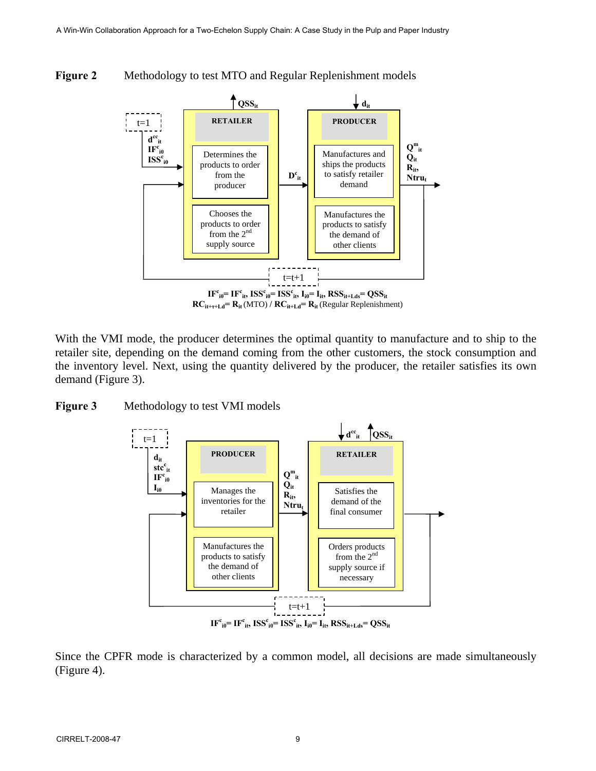



**RCit+τ+Ld= Rit** (MTO) **/ RCit+Ld= Rit** (Regular Replenishment)

With the VMI mode, the producer determines the optimal quantity to manufacture and to ship to the retailer site, depending on the demand coming from the other customers, the stock consumption and the inventory level. Next, using the quantity delivered by the producer, the retailer satisfies its own demand (Figure 3).

#### **Figure 3** Methodology to test VMI models



Since the CPFR mode is characterized by a common model, all decisions are made simultaneously (Figure 4).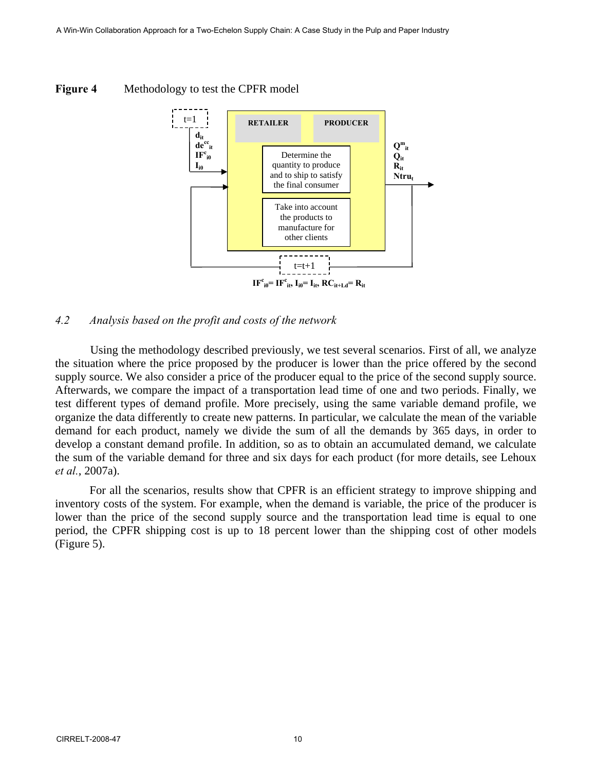

#### **Figure 4** Methodology to test the CPFR model

#### *4.2 Analysis based on the profit and costs of the network*

Using the methodology described previously, we test several scenarios. First of all, we analyze the situation where the price proposed by the producer is lower than the price offered by the second supply source. We also consider a price of the producer equal to the price of the second supply source. Afterwards, we compare the impact of a transportation lead time of one and two periods. Finally, we test different types of demand profile. More precisely, using the same variable demand profile, we organize the data differently to create new patterns. In particular, we calculate the mean of the variable demand for each product, namely we divide the sum of all the demands by 365 days, in order to develop a constant demand profile. In addition, so as to obtain an accumulated demand, we calculate the sum of the variable demand for three and six days for each product (for more details, see Lehoux *et al.*, 2007a).

 For all the scenarios, results show that CPFR is an efficient strategy to improve shipping and inventory costs of the system. For example, when the demand is variable, the price of the producer is lower than the price of the second supply source and the transportation lead time is equal to one period, the CPFR shipping cost is up to 18 percent lower than the shipping cost of other models (Figure 5).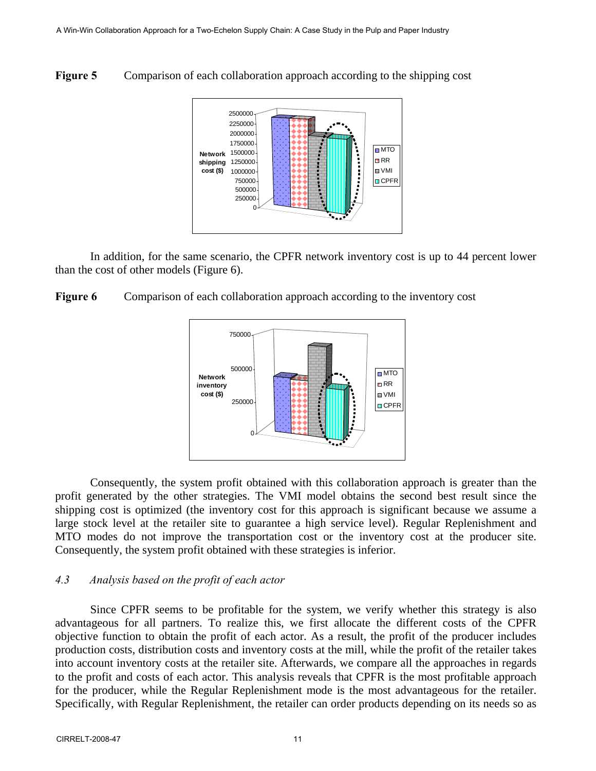**Figure 5** Comparison of each collaboration approach according to the shipping cost



In addition, for the same scenario, the CPFR network inventory cost is up to 44 percent lower than the cost of other models (Figure 6).

**Figure 6** Comparison of each collaboration approach according to the inventory cost



Consequently, the system profit obtained with this collaboration approach is greater than the profit generated by the other strategies. The VMI model obtains the second best result since the shipping cost is optimized (the inventory cost for this approach is significant because we assume a large stock level at the retailer site to guarantee a high service level). Regular Replenishment and MTO modes do not improve the transportation cost or the inventory cost at the producer site. Consequently, the system profit obtained with these strategies is inferior.

## *4.3 Analysis based on the profit of each actor*

Since CPFR seems to be profitable for the system, we verify whether this strategy is also advantageous for all partners. To realize this, we first allocate the different costs of the CPFR objective function to obtain the profit of each actor. As a result, the profit of the producer includes production costs, distribution costs and inventory costs at the mill, while the profit of the retailer takes into account inventory costs at the retailer site. Afterwards, we compare all the approaches in regards to the profit and costs of each actor. This analysis reveals that CPFR is the most profitable approach for the producer, while the Regular Replenishment mode is the most advantageous for the retailer. Specifically, with Regular Replenishment, the retailer can order products depending on its needs so as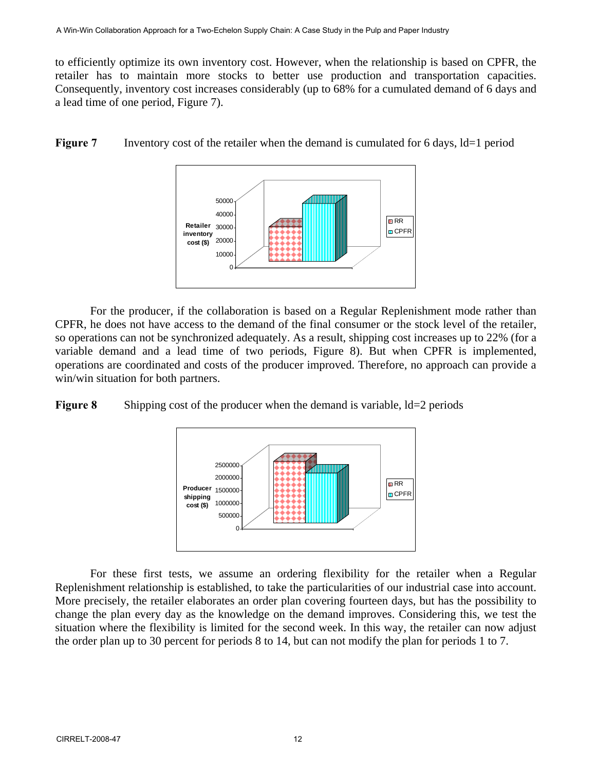to efficiently optimize its own inventory cost. However, when the relationship is based on CPFR, the retailer has to maintain more stocks to better use production and transportation capacities. Consequently, inventory cost increases considerably (up to 68% for a cumulated demand of 6 days and a lead time of one period, Figure 7).





For the producer, if the collaboration is based on a Regular Replenishment mode rather than CPFR, he does not have access to the demand of the final consumer or the stock level of the retailer, so operations can not be synchronized adequately. As a result, shipping cost increases up to 22% (for a variable demand and a lead time of two periods, Figure 8). But when CPFR is implemented, operations are coordinated and costs of the producer improved. Therefore, no approach can provide a win/win situation for both partners.

**Figure 8** Shipping cost of the producer when the demand is variable,  $\text{Id}=2$  periods



For these first tests, we assume an ordering flexibility for the retailer when a Regular Replenishment relationship is established, to take the particularities of our industrial case into account. More precisely, the retailer elaborates an order plan covering fourteen days, but has the possibility to change the plan every day as the knowledge on the demand improves. Considering this, we test the situation where the flexibility is limited for the second week. In this way, the retailer can now adjust the order plan up to 30 percent for periods 8 to 14, but can not modify the plan for periods 1 to 7.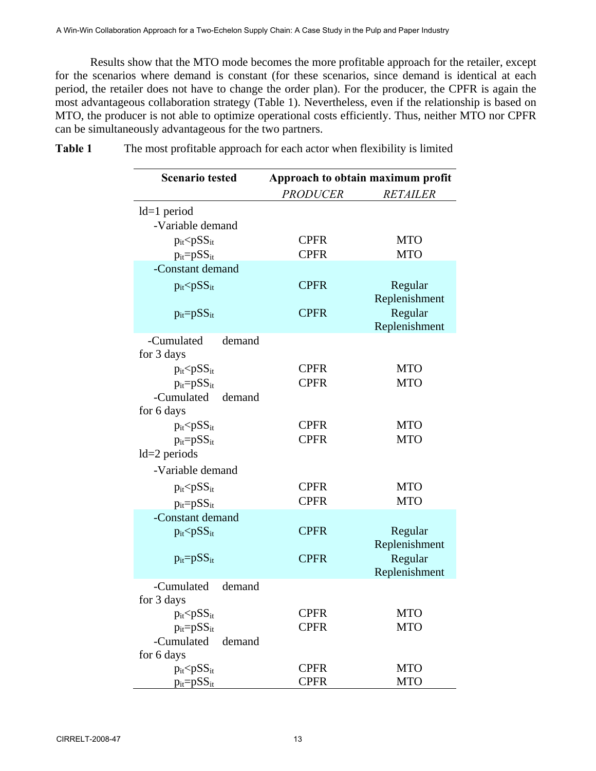Results show that the MTO mode becomes the more profitable approach for the retailer, except for the scenarios where demand is constant (for these scenarios, since demand is identical at each period, the retailer does not have to change the order plan). For the producer, the CPFR is again the most advantageous collaboration strategy (Table 1). Nevertheless, even if the relationship is based on MTO, the producer is not able to optimize operational costs efficiently. Thus, neither MTO nor CPFR can be simultaneously advantageous for the two partners.

| <b>Scenario tested</b>             | Approach to obtain maximum profit |                          |
|------------------------------------|-----------------------------------|--------------------------|
|                                    | <b>PRODUCER</b>                   | <b>RETAILER</b>          |
| $Id=1$ period                      |                                   |                          |
| -Variable demand                   |                                   |                          |
| $p_{it} < pSS_{it}$                | <b>CPFR</b>                       | <b>MTO</b>               |
| $p_{it} = pSS_{it}$                | <b>CPFR</b>                       | <b>MTO</b>               |
| -Constant demand                   |                                   |                          |
| $p_{it}$ $\leq$ $pSS_{it}$         | <b>CPFR</b>                       | Regular<br>Replenishment |
| $p_{it} = pSS_{it}$                | <b>CPFR</b>                       | Regular<br>Replenishment |
| demand<br>-Cumulated<br>for 3 days |                                   |                          |
| $p_{it}$ $\leq$ $pSS_{it}$         | <b>CPFR</b>                       | <b>MTO</b>               |
| $p_{it} = pSS_{it}$                | <b>CPFR</b>                       | <b>MTO</b>               |
| -Cumulated demand<br>for 6 days    |                                   |                          |
| $p_{it}$ $\leq$ $pSS_{it}$         | <b>CPFR</b>                       | <b>MTO</b>               |
| $p_{it} = pSS_{it}$                | <b>CPFR</b>                       | <b>MTO</b>               |
| $1d=2$ periods                     |                                   |                          |
| -Variable demand                   |                                   |                          |
| $p_{it}$ $\leq$ $pSS_{it}$         | <b>CPFR</b>                       | <b>MTO</b>               |
| $p_{it} = pSS_{it}$                | <b>CPFR</b>                       | <b>MTO</b>               |
| -Constant demand                   |                                   |                          |
| $p_{it}$ $\leq$ $pSS_{it}$         | <b>CPFR</b>                       | Regular<br>Replenishment |
| $p_{it} = pSS_{it}$                | <b>CPFR</b>                       | Regular                  |
|                                    |                                   | Replenishment            |
| -Cumulated<br>demand<br>for 3 days |                                   |                          |
| $p_{it} < pSS_{it}$                | <b>CPFR</b>                       | <b>MTO</b>               |
| $p_{it} = pSS_{it}$                | <b>CPFR</b>                       | <b>MTO</b>               |
| -Cumulated<br>demand               |                                   |                          |
| for 6 days                         |                                   |                          |
| $p_{it}$ $\leq$ $pSS_{it}$         | <b>CPFR</b>                       | <b>MTO</b>               |
| $p_{it} = pSS_{it}$                | <b>CPFR</b>                       | <b>MTO</b>               |

**Table 1** The most profitable approach for each actor when flexibility is limited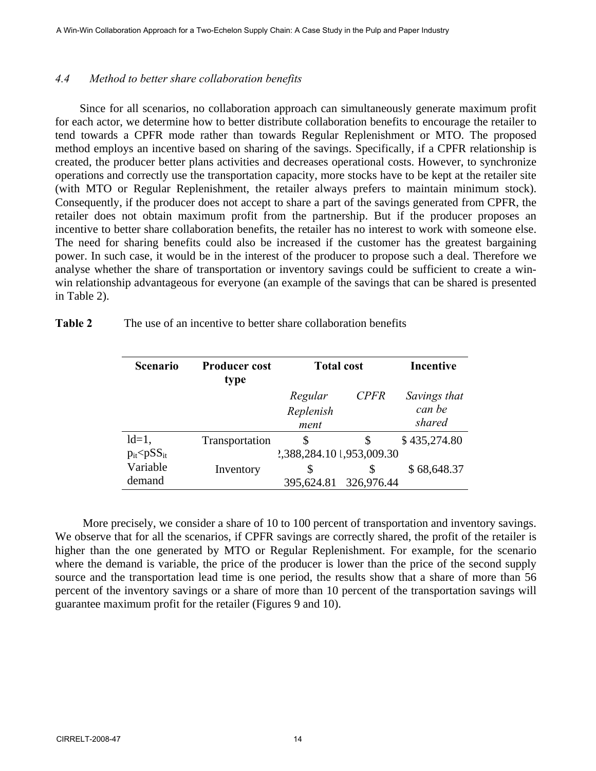#### *4.4 Method to better share collaboration benefits*

Since for all scenarios, no collaboration approach can simultaneously generate maximum profit for each actor, we determine how to better distribute collaboration benefits to encourage the retailer to tend towards a CPFR mode rather than towards Regular Replenishment or MTO. The proposed method employs an incentive based on sharing of the savings. Specifically, if a CPFR relationship is created, the producer better plans activities and decreases operational costs. However, to synchronize operations and correctly use the transportation capacity, more stocks have to be kept at the retailer site (with MTO or Regular Replenishment, the retailer always prefers to maintain minimum stock). Consequently, if the producer does not accept to share a part of the savings generated from CPFR, the retailer does not obtain maximum profit from the partnership. But if the producer proposes an incentive to better share collaboration benefits, the retailer has no interest to work with someone else. The need for sharing benefits could also be increased if the customer has the greatest bargaining power. In such case, it would be in the interest of the producer to propose such a deal. Therefore we analyse whether the share of transportation or inventory savings could be sufficient to create a winwin relationship advantageous for everyone (an example of the savings that can be shared is presented in Table 2).

| Table 2 |  |  |  | The use of an incentive to better share collaboration benefits |  |
|---------|--|--|--|----------------------------------------------------------------|--|
|---------|--|--|--|----------------------------------------------------------------|--|

| <b>Scenario</b>            | <b>Producer cost</b><br>type | <b>Total cost</b>         |             | <b>Incentive</b> |
|----------------------------|------------------------------|---------------------------|-------------|------------------|
|                            |                              | Regular                   | <b>CPFR</b> | Savings that     |
|                            |                              | Replenish                 |             | can be           |
|                            |                              | ment                      |             | shared           |
| $ld=1$ ,                   | Transportation               | \$                        | S           | \$435,274.80     |
| $p_{it}$ $\leq$ $pSS_{it}$ |                              | 2,388,284.10 1,953,009.30 |             |                  |
| Variable                   | Inventory                    | \$                        |             | \$68,648.37      |
| demand                     |                              | 395,624.81                | 326,976.44  |                  |

More precisely, we consider a share of 10 to 100 percent of transportation and inventory savings. We observe that for all the scenarios, if CPFR savings are correctly shared, the profit of the retailer is higher than the one generated by MTO or Regular Replenishment. For example, for the scenario where the demand is variable, the price of the producer is lower than the price of the second supply source and the transportation lead time is one period, the results show that a share of more than 56 percent of the inventory savings or a share of more than 10 percent of the transportation savings will guarantee maximum profit for the retailer (Figures 9 and 10).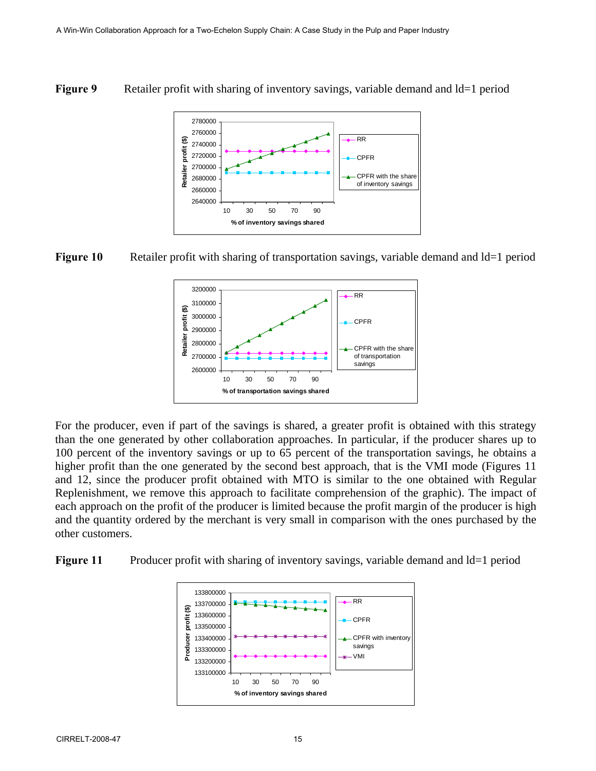## **Figure 9** Retailer profit with sharing of inventory savings, variable demand and Id=1 period







For the producer, even if part of the savings is shared, a greater profit is obtained with this strategy than the one generated by other collaboration approaches. In particular, if the producer shares up to 100 percent of the inventory savings or up to 65 percent of the transportation savings, he obtains a higher profit than the one generated by the second best approach, that is the VMI mode (Figures 11 and 12, since the producer profit obtained with MTO is similar to the one obtained with Regular Replenishment, we remove this approach to facilitate comprehension of the graphic). The impact of each approach on the profit of the producer is limited because the profit margin of the producer is high and the quantity ordered by the merchant is very small in comparison with the ones purchased by the other customers.

**Figure 11** Producer profit with sharing of inventory savings, variable demand and  $d=1$  period

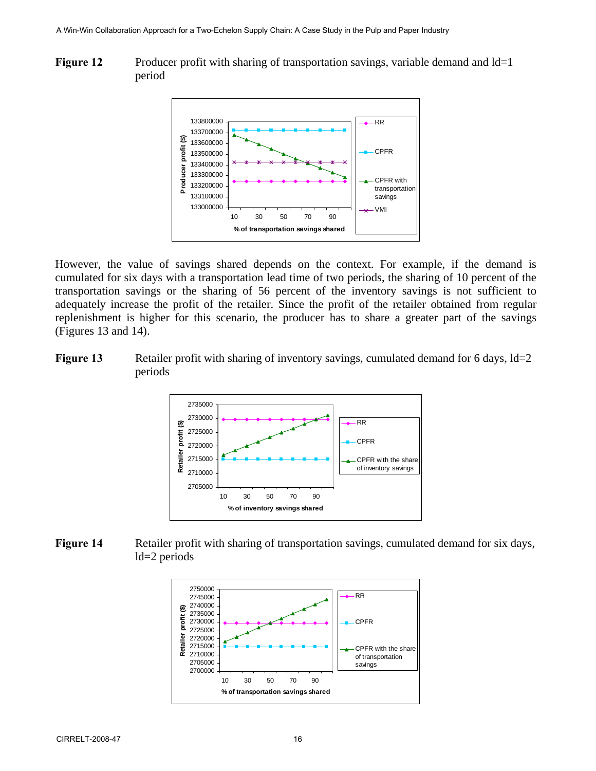**Figure 12** Producer profit with sharing of transportation savings, variable demand and Id=1 period



However, the value of savings shared depends on the context. For example, if the demand is cumulated for six days with a transportation lead time of two periods, the sharing of 10 percent of the transportation savings or the sharing of 56 percent of the inventory savings is not sufficient to adequately increase the profit of the retailer. Since the profit of the retailer obtained from regular replenishment is higher for this scenario, the producer has to share a greater part of the savings (Figures 13 and 14).

**Figure 13** Retailer profit with sharing of inventory savings, cumulated demand for 6 days,  $Id=2$ periods



**Figure 14** Retailer profit with sharing of transportation savings, cumulated demand for six days, ld=2 periods

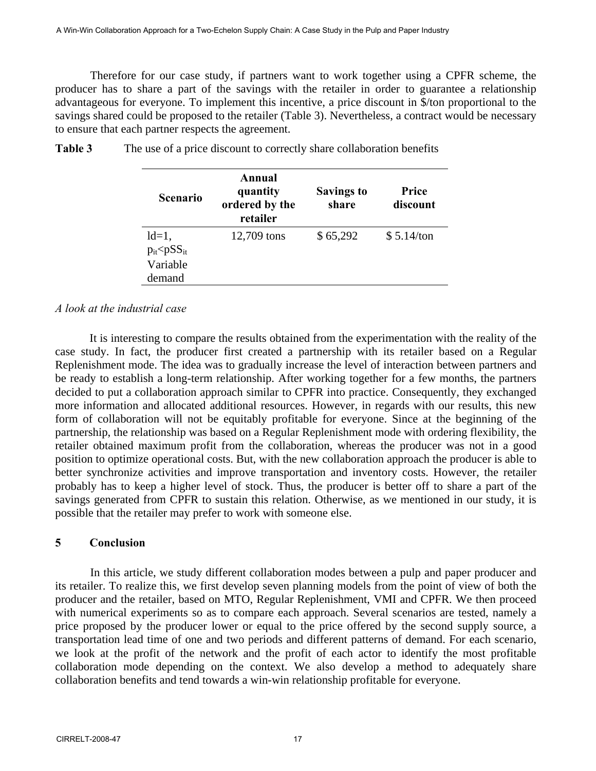Therefore for our case study, if partners want to work together using a CPFR scheme, the producer has to share a part of the savings with the retailer in order to guarantee a relationship advantageous for everyone. To implement this incentive, a price discount in \$/ton proportional to the savings shared could be proposed to the retailer (Table 3). Nevertheless, a contract would be necessary to ensure that each partner respects the agreement.

| <b>Scenario</b>            | Annual<br>quantity<br>ordered by the<br>retailer | <b>Savings to</b><br>share | Price<br>discount |
|----------------------------|--------------------------------------------------|----------------------------|-------------------|
| $ld=1,$                    | 12,709 tons                                      | \$65,292                   | \$5.14/ton        |
| $p_{it}$ $\leq$ $pSS_{it}$ |                                                  |                            |                   |
| Variable                   |                                                  |                            |                   |
| demand                     |                                                  |                            |                   |

**Table 3** The use of a price discount to correctly share collaboration benefits

#### *A look at the industrial case*

 It is interesting to compare the results obtained from the experimentation with the reality of the case study. In fact, the producer first created a partnership with its retailer based on a Regular Replenishment mode. The idea was to gradually increase the level of interaction between partners and be ready to establish a long-term relationship. After working together for a few months, the partners decided to put a collaboration approach similar to CPFR into practice. Consequently, they exchanged more information and allocated additional resources. However, in regards with our results, this new form of collaboration will not be equitably profitable for everyone. Since at the beginning of the partnership, the relationship was based on a Regular Replenishment mode with ordering flexibility, the retailer obtained maximum profit from the collaboration, whereas the producer was not in a good position to optimize operational costs. But, with the new collaboration approach the producer is able to better synchronize activities and improve transportation and inventory costs. However, the retailer probably has to keep a higher level of stock. Thus, the producer is better off to share a part of the savings generated from CPFR to sustain this relation. Otherwise, as we mentioned in our study, it is possible that the retailer may prefer to work with someone else.

#### **5 Conclusion**

In this article, we study different collaboration modes between a pulp and paper producer and its retailer. To realize this, we first develop seven planning models from the point of view of both the producer and the retailer, based on MTO, Regular Replenishment, VMI and CPFR. We then proceed with numerical experiments so as to compare each approach. Several scenarios are tested, namely a price proposed by the producer lower or equal to the price offered by the second supply source, a transportation lead time of one and two periods and different patterns of demand. For each scenario, we look at the profit of the network and the profit of each actor to identify the most profitable collaboration mode depending on the context. We also develop a method to adequately share collaboration benefits and tend towards a win-win relationship profitable for everyone.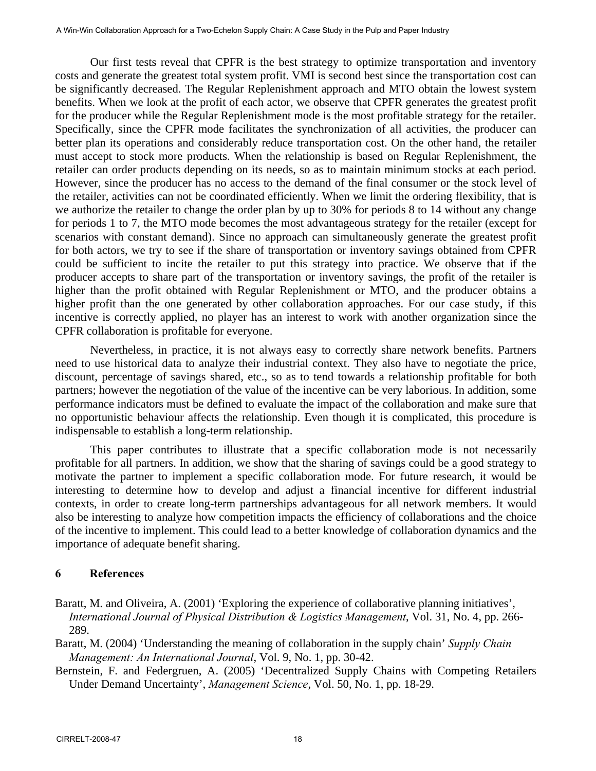Our first tests reveal that CPFR is the best strategy to optimize transportation and inventory costs and generate the greatest total system profit. VMI is second best since the transportation cost can be significantly decreased. The Regular Replenishment approach and MTO obtain the lowest system benefits. When we look at the profit of each actor, we observe that CPFR generates the greatest profit for the producer while the Regular Replenishment mode is the most profitable strategy for the retailer. Specifically, since the CPFR mode facilitates the synchronization of all activities, the producer can better plan its operations and considerably reduce transportation cost. On the other hand, the retailer must accept to stock more products. When the relationship is based on Regular Replenishment, the retailer can order products depending on its needs, so as to maintain minimum stocks at each period. However, since the producer has no access to the demand of the final consumer or the stock level of the retailer, activities can not be coordinated efficiently. When we limit the ordering flexibility, that is we authorize the retailer to change the order plan by up to 30% for periods 8 to 14 without any change for periods 1 to 7, the MTO mode becomes the most advantageous strategy for the retailer (except for scenarios with constant demand). Since no approach can simultaneously generate the greatest profit for both actors, we try to see if the share of transportation or inventory savings obtained from CPFR could be sufficient to incite the retailer to put this strategy into practice. We observe that if the producer accepts to share part of the transportation or inventory savings, the profit of the retailer is higher than the profit obtained with Regular Replenishment or MTO, and the producer obtains a higher profit than the one generated by other collaboration approaches. For our case study, if this incentive is correctly applied, no player has an interest to work with another organization since the CPFR collaboration is profitable for everyone.

Nevertheless, in practice, it is not always easy to correctly share network benefits. Partners need to use historical data to analyze their industrial context. They also have to negotiate the price, discount, percentage of savings shared, etc., so as to tend towards a relationship profitable for both partners; however the negotiation of the value of the incentive can be very laborious. In addition, some performance indicators must be defined to evaluate the impact of the collaboration and make sure that no opportunistic behaviour affects the relationship. Even though it is complicated, this procedure is indispensable to establish a long-term relationship.

This paper contributes to illustrate that a specific collaboration mode is not necessarily profitable for all partners. In addition, we show that the sharing of savings could be a good strategy to motivate the partner to implement a specific collaboration mode. For future research, it would be interesting to determine how to develop and adjust a financial incentive for different industrial contexts, in order to create long-term partnerships advantageous for all network members. It would also be interesting to analyze how competition impacts the efficiency of collaborations and the choice of the incentive to implement. This could lead to a better knowledge of collaboration dynamics and the importance of adequate benefit sharing.

## **6 References**

- Baratt, M. and Oliveira, A. (2001) 'Exploring the experience of collaborative planning initiatives', *International Journal of Physical Distribution & Logistics Management*, Vol. 31, No. 4, pp. 266- 289.
- Baratt, M. (2004) 'Understanding the meaning of collaboration in the supply chain' *Supply Chain Management: An International Journal*, Vol. 9, No. 1, pp. 30-42.
- Bernstein, F. and Federgruen, A. (2005) 'Decentralized Supply Chains with Competing Retailers Under Demand Uncertainty', *Management Science*, Vol. 50, No. 1, pp. 18-29.